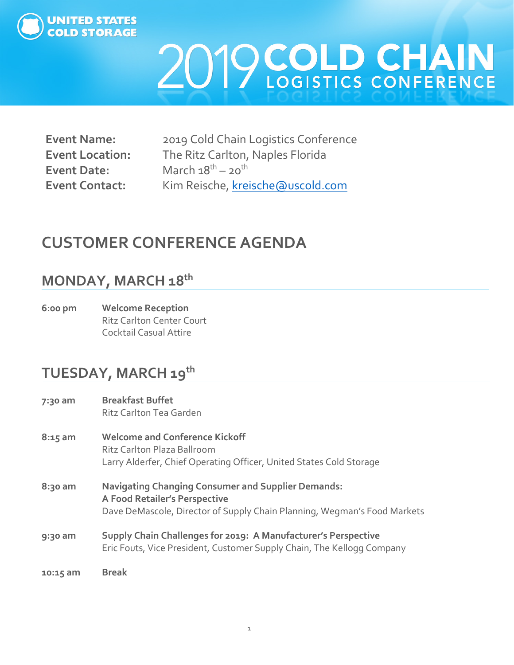

| <b>Event Name:</b>     |  |
|------------------------|--|
| <b>Event Location:</b> |  |
| <b>Event Date:</b>     |  |
| <b>Event Contact:</b>  |  |

**Event Name:** 2019 Cold Chain Logistics Conference **Event Location:** The Ritz Carlton, Naples Florida **March 18<sup>th</sup> – 20<sup>th</sup>** Kim Reische, [kreische@uscold.com](mailto:kreische@uscold.com)

### **CUSTOMER CONFERENCE AGENDA**

### **MONDAY, MARCH 18th**

**6:00 pm Welcome Reception** Ritz Carlton Center Court Cocktail Casual Attire

### **TUESDAY, MARCH 19th**

| 7:30 am   | <b>Breakfast Buffet</b><br>Ritz Carlton Tea Garden                                                                                                                     |
|-----------|------------------------------------------------------------------------------------------------------------------------------------------------------------------------|
| $8:15$ am | <b>Welcome and Conference Kickoff</b><br>Ritz Carlton Plaza Ballroom<br>Larry Alderfer, Chief Operating Officer, United States Cold Storage                            |
| 8:30 am   | <b>Navigating Changing Consumer and Supplier Demands:</b><br>A Food Retailer's Perspective<br>Dave DeMascole, Director of Supply Chain Planning, Wegman's Food Markets |
| 9:30 am   | Supply Chain Challenges for 2019: A Manufacturer's Perspective<br>Eric Fouts, Vice President, Customer Supply Chain, The Kellogg Company                               |
| 10:15 am  | <b>Break</b>                                                                                                                                                           |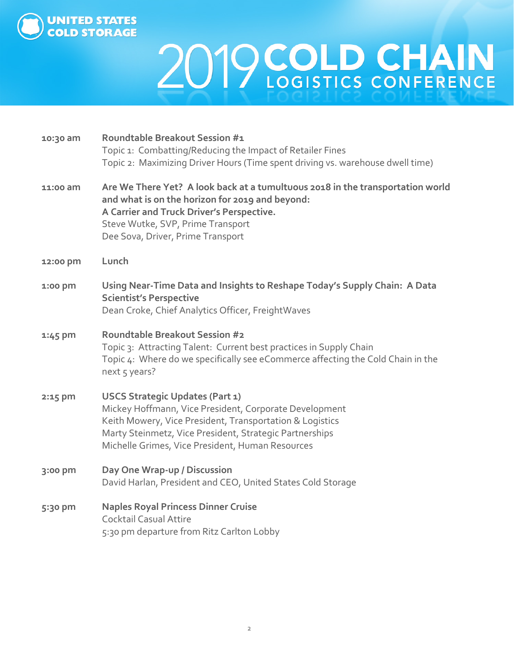

| 10:30 am | <b>Roundtable Breakout Session #1</b><br>Topic 1: Combatting/Reducing the Impact of Retailer Fines<br>Topic 2: Maximizing Driver Hours (Time spent driving vs. warehouse dwell time)                                                                                 |
|----------|----------------------------------------------------------------------------------------------------------------------------------------------------------------------------------------------------------------------------------------------------------------------|
| 11:00 am | Are We There Yet? A look back at a tumultuous 2018 in the transportation world<br>and what is on the horizon for 2019 and beyond:<br>A Carrier and Truck Driver's Perspective.<br>Steve Wutke, SVP, Prime Transport<br>Dee Sova, Driver, Prime Transport             |
| 12:00 pm | Lunch                                                                                                                                                                                                                                                                |
| 1:00 pm  | Using Near-Time Data and Insights to Reshape Today's Supply Chain: A Data<br><b>Scientist's Perspective</b><br>Dean Croke, Chief Analytics Officer, FreightWaves                                                                                                     |
| 1:45 pm  | <b>Roundtable Breakout Session #2</b><br>Topic 3: Attracting Talent: Current best practices in Supply Chain<br>Topic 4: Where do we specifically see eCommerce affecting the Cold Chain in the<br>next 5 years?                                                      |
| 2:15 pm  | USCS Strategic Updates (Part 1)<br>Mickey Hoffmann, Vice President, Corporate Development<br>Keith Mowery, Vice President, Transportation & Logistics<br>Marty Steinmetz, Vice President, Strategic Partnerships<br>Michelle Grimes, Vice President, Human Resources |
| 3:00 pm  | Day One Wrap-up / Discussion<br>David Harlan, President and CEO, United States Cold Storage                                                                                                                                                                          |
| 5:30 pm  | <b>Naples Royal Princess Dinner Cruise</b><br>Cocktail Casual Attire<br>5:30 pm departure from Ritz Carlton Lobby                                                                                                                                                    |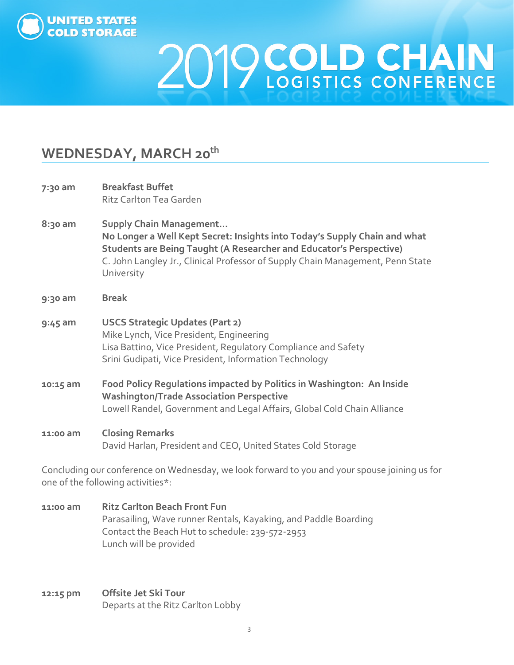

### **WEDNESDAY, MARCH 20th**

| 7:30 am   | <b>Breakfast Buffet</b><br>Ritz Carlton Tea Garden                                                                                                                                                                                                                                        |
|-----------|-------------------------------------------------------------------------------------------------------------------------------------------------------------------------------------------------------------------------------------------------------------------------------------------|
| $8:30$ am | <b>Supply Chain Management</b><br>No Longer a Well Kept Secret: Insights into Today's Supply Chain and what<br><b>Students are Being Taught (A Researcher and Educator's Perspective)</b><br>C. John Langley Jr., Clinical Professor of Supply Chain Management, Penn State<br>University |
| 9:30 am   | <b>Break</b>                                                                                                                                                                                                                                                                              |
| $9:45$ am | <b>USCS Strategic Updates (Part 2)</b><br>Mike Lynch, Vice President, Engineering<br>Lisa Battino, Vice President, Regulatory Compliance and Safety<br>Srini Gudipati, Vice President, Information Technology                                                                             |
| 10:15 am  | Food Policy Regulations impacted by Politics in Washington: An Inside<br><b>Washington/Trade Association Perspective</b><br>Lowell Randel, Government and Legal Affairs, Global Cold Chain Alliance                                                                                       |
| 11:00 am  | <b>Closing Remarks</b><br>David Harlan, President and CEO, United States Cold Storage                                                                                                                                                                                                     |

Concluding our conference on Wednesday, we look forward to you and your spouse joining us for one of the following activities\*:

- **11:00 am Ritz Carlton Beach Front Fun** Parasailing, Wave runner Rentals, Kayaking, and Paddle Boarding Contact the Beach Hut to schedule: 239-572-2953 Lunch will be provided
- **12:15 pm Offsite Jet Ski Tour**  Departs at the Ritz Carlton Lobby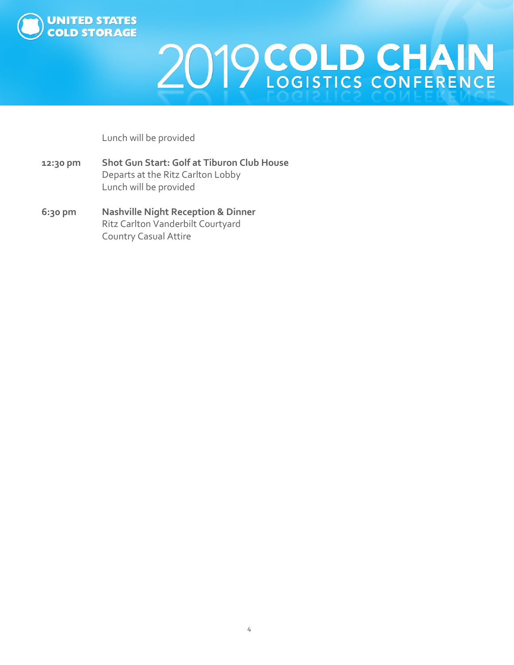

Lunch will be provided

- **12:30 pm Shot Gun Start: Golf at Tiburon Club House**  Departs at the Ritz Carlton Lobby Lunch will be provided
- **6:30 pm Nashville Night Reception & Dinner**  Ritz Carlton Vanderbilt Courtyard Country Casual Attire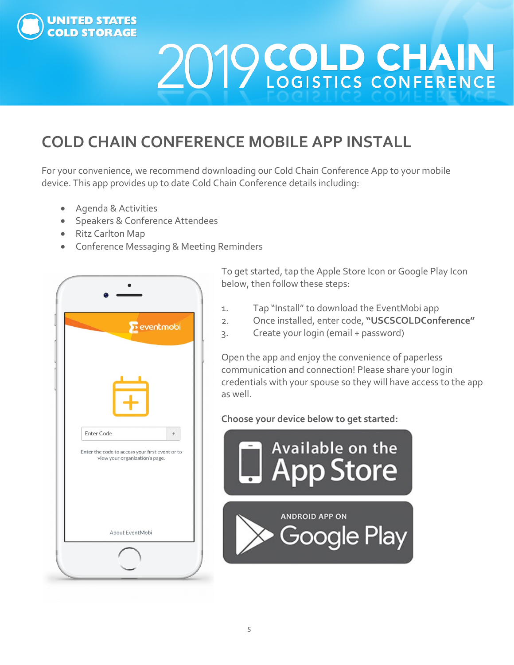

## **COLD CHAIN CONFERENCE MOBILE APP INSTALL**

For your convenience, we recommend downloading our Cold Chain Conference App to your mobile device. This app provides up to date Cold Chain Conference details including:

- Agenda & Activities
- Speakers & Conference Attendees
- Ritz Carlton Map
- Conference Messaging & Meeting Reminders



To get started, tap the Apple Store Icon or Google Play Icon below, then follow these steps:

- 1. Tap "Install" to download the EventMobi app
- 2. Once installed, enter code, **"USCSCOLDConference"**
- 3. Create your login (email + password)

Open the app and enjoy the convenience of paperless communication and connection! Please share your login credentials with your spouse so they will have access to the app as well.

**Choose your device below to get started:**

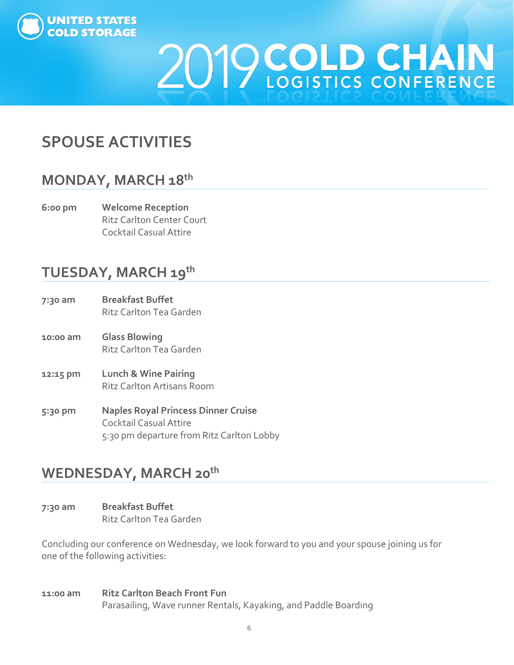

## **SPOUSE ACTIVITIES**

### **MONDAY, MARCH 18th**

**6:00 pm Welcome Reception** Ritz Carlton Center Court Cocktail Casual Attire

### **TUESDAY, MARCH 19th**

- **7:30 am Breakfast Buffet** Ritz Carlton Tea Garden **10:00 am Glass Blowing** Ritz Carlton Tea Garden **12:15 pm Lunch & Wine Pairing** Ritz Carlton Artisans Room
- **5:30 pm Naples Royal Princess Dinner Cruise** Cocktail Casual Attire 5:30 pm departure from Ritz Carlton Lobby

#### **WEDNESDAY, MARCH 20th**

**7:30 am Breakfast Buffet** Ritz Carlton Tea Garden

Concluding our conference on Wednesday, we look forward to you and your spouse joining us for one of the following activities:

**11:00 am Ritz Carlton Beach Front Fun**  Parasailing, Wave runner Rentals, Kayaking, and Paddle Boarding